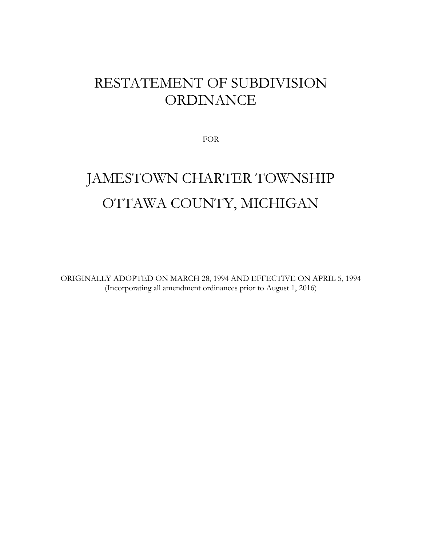# RESTATEMENT OF SUBDIVISION ORDINANCE

FOR

# JAMESTOWN CHARTER TOWNSHIP OTTAWA COUNTY, MICHIGAN

ORIGINALLY ADOPTED ON MARCH 28, 1994 AND EFFECTIVE ON APRIL 5, 1994 (Incorporating all amendment ordinances prior to August 1, 2016)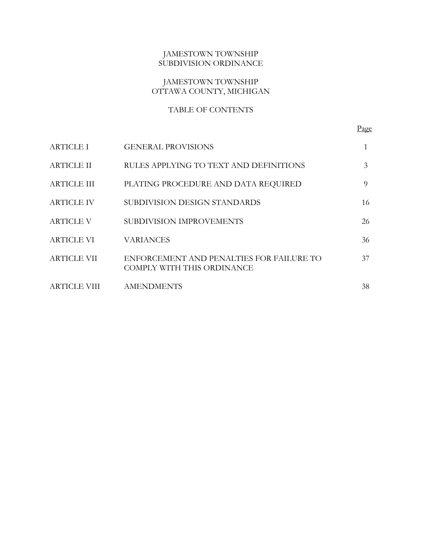# JAMESTOWN TOWNSHIP SUBDIVISION ORDINANCE

# JAMESTOWN TOWNSHIP OTTAWA COUNTY, MICHIGAN

# TABLE OF CONTENTS

| <b>ARTICLE I</b>   | <b>GENERAL PROVISIONS</b>                                              |    |
|--------------------|------------------------------------------------------------------------|----|
| <b>ARTICLE II</b>  | RULES APPLYING TO TEXT AND DEFINITIONS                                 | 3  |
| <b>ARTICLE III</b> | PLATING PROCEDURE AND DATA REQUIRED                                    | 9  |
| <b>ARTICLE IV</b>  | SUBDIVISION DESIGN STANDARDS                                           | 16 |
| <b>ARTICLE V</b>   | SUBDIVISION IMPROVEMENTS                                               | 26 |
| ARTICLE VI         | <b>VARIANCES</b>                                                       | 36 |
| <b>ARTICLE VII</b> | ENFORCEMENT AND PENALTIES FOR FAILURE TO<br>COMPLY WITH THIS ORDINANCE | 37 |
| ARTICLE VIII       | <b>AMENDMENTS</b>                                                      | 38 |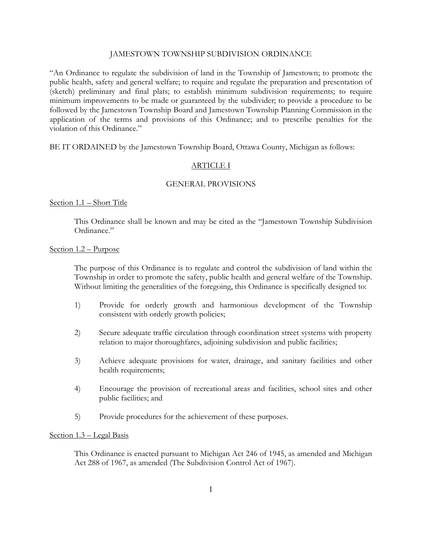#### JAMESTOWN TOWNSHIP SUBDIVISION ORDINANCE

"An Ordinance to regulate the subdivision of land in the Township of Jamestown; to promote the public health, safety and general welfare; to require and regulate the preparation and presentation of (sketch) preliminary and final plats; to establish minimum subdivision requirements; to require minimum improvements to be made or guaranteed by the subdivider; to provide a procedure to be followed by the Jamestown Township Board and Jamestown Township Planning Commission in the application of the terms and provisions of this Ordinance; and to prescribe penalties for the violation of this Ordinance."

BE IT ORDAINED by the Jamestown Township Board, Ottawa County, Michigan as follows:

#### ARTICLE I

#### GENERAL PROVISIONS

#### Section 1.1 – Short Title

This Ordinance shall be known and may be cited as the "Jamestown Township Subdivision Ordinance."

#### Section 1.2 – Purpose

The purpose of this Ordinance is to regulate and control the subdivision of land within the Township in order to promote the safety, public health and general welfare of the Township. Without limiting the generalities of the foregoing, this Ordinance is specifically designed to:

- 1) Provide for orderly growth and harmonious development of the Township consistent with orderly growth policies;
- 2) Secure adequate traffic circulation through coordination street systems with property relation to major thoroughfares, adjoining subdivision and public facilities;
- 3) Achieve adequate provisions for water, drainage, and sanitary facilities and other health requirements;
- 4) Encourage the provision of recreational areas and facilities, school sites and other public facilities; and
- 5) Provide procedures for the achievement of these purposes.

# Section 1.3 – Legal Basis

This Ordinance is enacted pursuant to Michigan Act 246 of 1945, as amended and Michigan Act 288 of 1967, as amended (The Subdivision Control Act of 1967).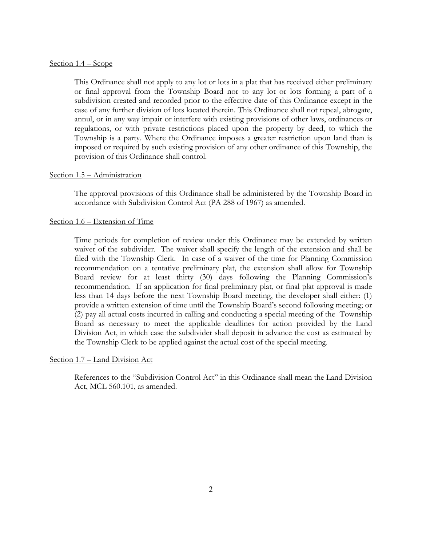# Section 1.4 – Scope

This Ordinance shall not apply to any lot or lots in a plat that has received either preliminary or final approval from the Township Board nor to any lot or lots forming a part of a subdivision created and recorded prior to the effective date of this Ordinance except in the case of any further division of lots located therein. This Ordinance shall not repeal, abrogate, annul, or in any way impair or interfere with existing provisions of other laws, ordinances or regulations, or with private restrictions placed upon the property by deed, to which the Township is a party. Where the Ordinance imposes a greater restriction upon land than is imposed or required by such existing provision of any other ordinance of this Township, the provision of this Ordinance shall control.

#### Section 1.5 – Administration

The approval provisions of this Ordinance shall be administered by the Township Board in accordance with Subdivision Control Act (PA 288 of 1967) as amended.

#### Section 1.6 – Extension of Time

Time periods for completion of review under this Ordinance may be extended by written waiver of the subdivider. The waiver shall specify the length of the extension and shall be filed with the Township Clerk. In case of a waiver of the time for Planning Commission recommendation on a tentative preliminary plat, the extension shall allow for Township Board review for at least thirty (30) days following the Planning Commission's recommendation. If an application for final preliminary plat, or final plat approval is made less than 14 days before the next Township Board meeting, the developer shall either: (1) provide a written extension of time until the Township Board's second following meeting; or (2) pay all actual costs incurred in calling and conducting a special meeting of the Township Board as necessary to meet the applicable deadlines for action provided by the Land Division Act, in which case the subdivider shall deposit in advance the cost as estimated by the Township Clerk to be applied against the actual cost of the special meeting.

#### Section 1.7 – Land Division Act

References to the "Subdivision Control Act" in this Ordinance shall mean the Land Division Act, MCL 560.101, as amended.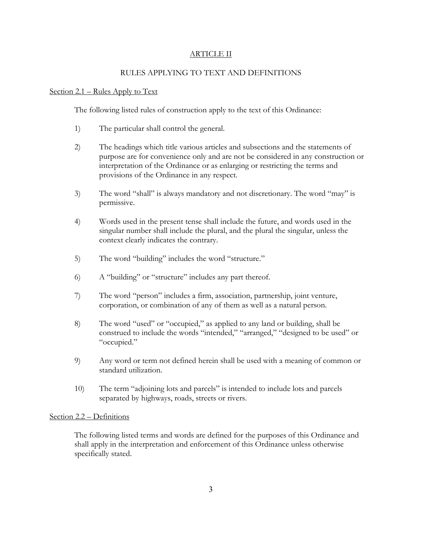# ARTICLE II

# RULES APPLYING TO TEXT AND DEFINITIONS

# Section 2.1 – Rules Apply to Text

The following listed rules of construction apply to the text of this Ordinance:

- 1) The particular shall control the general.
- 2) The headings which title various articles and subsections and the statements of purpose are for convenience only and are not be considered in any construction or interpretation of the Ordinance or as enlarging or restricting the terms and provisions of the Ordinance in any respect.
- 3) The word "shall" is always mandatory and not discretionary. The word "may" is permissive.
- 4) Words used in the present tense shall include the future, and words used in the singular number shall include the plural, and the plural the singular, unless the context clearly indicates the contrary.
- 5) The word "building" includes the word "structure."
- 6) A "building" or "structure" includes any part thereof.
- 7) The word "person" includes a firm, association, partnership, joint venture, corporation, or combination of any of them as well as a natural person.
- 8) The word "used" or "occupied," as applied to any land or building, shall be construed to include the words "intended," "arranged," "designed to be used" or "occupied."
- 9) Any word or term not defined herein shall be used with a meaning of common or standard utilization.
- 10) The term "adjoining lots and parcels" is intended to include lots and parcels separated by highways, roads, streets or rivers.

# Section 2.2 – Definitions

The following listed terms and words are defined for the purposes of this Ordinance and shall apply in the interpretation and enforcement of this Ordinance unless otherwise specifically stated.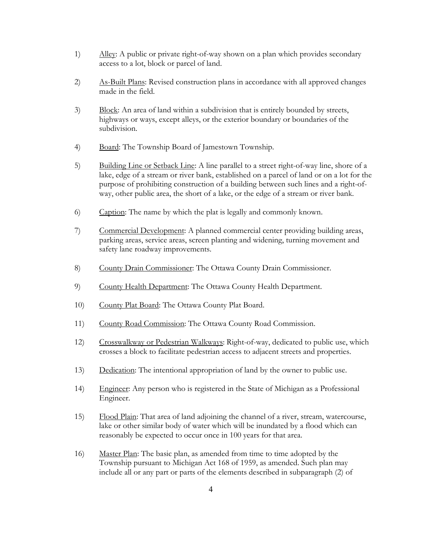- 1) Alley: A public or private right-of-way shown on a plan which provides secondary access to a lot, block or parcel of land.
- 2) As-Built Plans: Revised construction plans in accordance with all approved changes made in the field.
- 3) Block: An area of land within a subdivision that is entirely bounded by streets, highways or ways, except alleys, or the exterior boundary or boundaries of the subdivision.
- 4) Board: The Township Board of Jamestown Township.
- 5) Building Line or Setback Line: A line parallel to a street right-of-way line, shore of a lake, edge of a stream or river bank, established on a parcel of land or on a lot for the purpose of prohibiting construction of a building between such lines and a right-ofway, other public area, the short of a lake, or the edge of a stream or river bank.
- 6) Caption: The name by which the plat is legally and commonly known.
- 7) Commercial Development: A planned commercial center providing building areas, parking areas, service areas, screen planting and widening, turning movement and safety lane roadway improvements.
- 8) County Drain Commissioner: The Ottawa County Drain Commissioner.
- 9) County Health Department: The Ottawa County Health Department.
- 10) County Plat Board: The Ottawa County Plat Board.
- 11) County Road Commission: The Ottawa County Road Commission.
- 12) Crosswalkway or Pedestrian Walkways: Right-of-way, dedicated to public use, which crosses a block to facilitate pedestrian access to adjacent streets and properties.
- 13) Dedication: The intentional appropriation of land by the owner to public use.
- 14) Engineer: Any person who is registered in the State of Michigan as a Professional Engineer.
- 15) Flood Plain: That area of land adjoining the channel of a river, stream, watercourse, lake or other similar body of water which will be inundated by a flood which can reasonably be expected to occur once in 100 years for that area.
- 16) Master Plan: The basic plan, as amended from time to time adopted by the Township pursuant to Michigan Act 168 of 1959, as amended. Such plan may include all or any part or parts of the elements described in subparagraph (2) of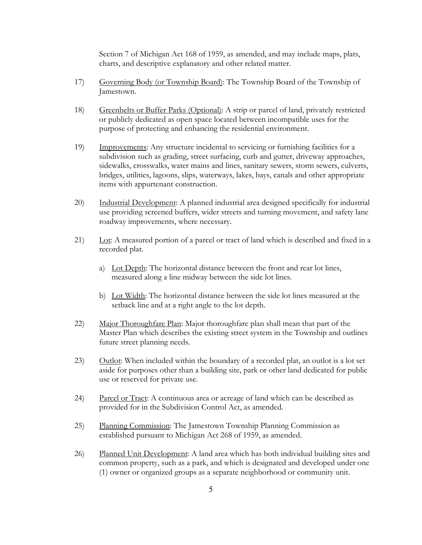Section 7 of Michigan Act 168 of 1959, as amended, and may include maps, plats, charts, and descriptive explanatory and other related matter.

- 17) Governing Body (or Township Board): The Township Board of the Township of Jamestown.
- 18) Greenbelts or Buffer Parks (Optional): A strip or parcel of land, privately restricted or publicly dedicated as open space located between incompatible uses for the purpose of protecting and enhancing the residential environment.
- 19) Improvements: Any structure incidental to servicing or furnishing facilities for a subdivision such as grading, street surfacing, curb and gutter, driveway approaches, sidewalks, crosswalks, water mains and lines, sanitary sewers, storm sewers, culverts, bridges, utilities, lagoons, slips, waterways, lakes, bays, canals and other appropriate items with appurtenant construction.
- 20) Industrial Development: A planned industrial area designed specifically for industrial use providing screened buffers, wider streets and turning movement, and safety lane roadway improvements, where necessary.
- 21) Lot: A measured portion of a parcel or tract of land which is described and fixed in a recorded plat.
	- a) Lot Depth: The horizontal distance between the front and rear lot lines, measured along a line midway between the side lot lines.
	- b) Lot Width: The horizontal distance between the side lot lines measured at the setback line and at a right angle to the lot depth.
- 22) Major Thoroughfare Plan: Major thoroughfare plan shall mean that part of the Master Plan which describes the existing street system in the Township and outlines future street planning needs.
- 23) Outlot: When included within the boundary of a recorded plat, an outlot is a lot set aside for purposes other than a building site, park or other land dedicated for public use or reserved for private use.
- 24) Parcel or Tract: A continuous area or acreage of land which can be described as provided for in the Subdivision Control Act, as amended.
- 25) Planning Commission: The Jamestown Township Planning Commission as established pursuant to Michigan Act 268 of 1959, as amended.
- 26) Planned Unit Development: A land area which has both individual building sites and common property, such as a park, and which is designated and developed under one (1) owner or organized groups as a separate neighborhood or community unit.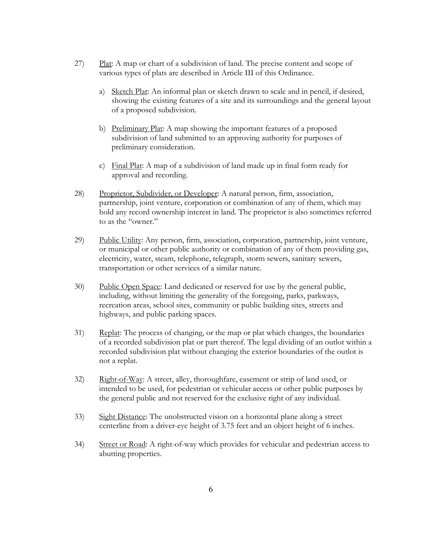- 27) Plat: A map or chart of a subdivision of land. The precise content and scope of various types of plats are described in Article III of this Ordinance.
	- a) Sketch Plat: An informal plan or sketch drawn to scale and in pencil, if desired, showing the existing features of a site and its surroundings and the general layout of a proposed subdivision.
	- b) Preliminary Plat: A map showing the important features of a proposed subdivision of land submitted to an approving authority for purposes of preliminary consideration.
	- c) Final Plat: A map of a subdivision of land made up in final form ready for approval and recording.
- 28) Proprietor, Subdivider, or Developer: A natural person, firm, association, partnership, joint venture, corporation or combination of any of them, which may hold any record ownership interest in land. The proprietor is also sometimes referred to as the "owner."
- 29) Public Utility: Any person, firm, association, corporation, partnership, joint venture, or municipal or other public authority or combination of any of them providing gas, electricity, water, steam, telephone, telegraph, storm sewers, sanitary sewers, transportation or other services of a similar nature.
- 30) Public Open Space: Land dedicated or reserved for use by the general public, including, without limiting the generality of the foregoing, parks, parkways, recreation areas, school sites, community or public building sites, streets and highways, and public parking spaces.
- 31) Replat: The process of changing, or the map or plat which changes, the boundaries of a recorded subdivision plat or part thereof. The legal dividing of an outlot within a recorded subdivision plat without changing the exterior boundaries of the outlot is not a replat.
- 32) Right-of-Way: A street, alley, thoroughfare, easement or strip of land used, or intended to be used, for pedestrian or vehicular access or other public purposes by the general public and not reserved for the exclusive right of any individual.
- 33) Sight Distance: The unobstructed vision on a horizontal plane along a street centerline from a driver-eye height of 3.75 feet and an object height of 6 inches.
- 34) Street or Road: A right-of-way which provides for vehicular and pedestrian access to abutting properties.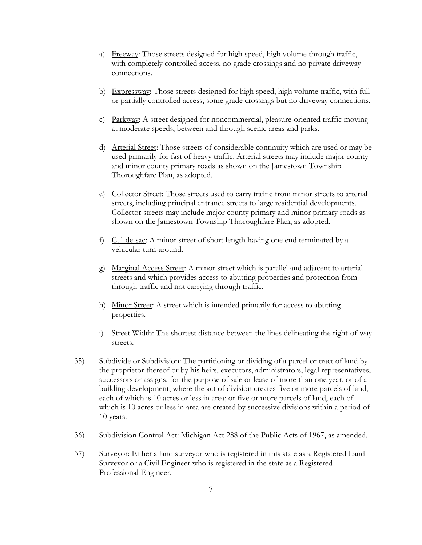- a) Freeway: Those streets designed for high speed, high volume through traffic, with completely controlled access, no grade crossings and no private driveway connections.
- b) Expressway: Those streets designed for high speed, high volume traffic, with full or partially controlled access, some grade crossings but no driveway connections.
- c) Parkway: A street designed for noncommercial, pleasure-oriented traffic moving at moderate speeds, between and through scenic areas and parks.
- d) Arterial Street: Those streets of considerable continuity which are used or may be used primarily for fast of heavy traffic. Arterial streets may include major county and minor county primary roads as shown on the Jamestown Township Thoroughfare Plan, as adopted.
- e) Collector Street: Those streets used to carry traffic from minor streets to arterial streets, including principal entrance streets to large residential developments. Collector streets may include major county primary and minor primary roads as shown on the Jamestown Township Thoroughfare Plan, as adopted.
- f) Cul-de-sac: A minor street of short length having one end terminated by a vehicular turn-around.
- g) Marginal Access Street: A minor street which is parallel and adjacent to arterial streets and which provides access to abutting properties and protection from through traffic and not carrying through traffic.
- h) Minor Street: A street which is intended primarily for access to abutting properties.
- i) Street Width: The shortest distance between the lines delineating the right-of-way streets.
- 35) Subdivide or Subdivision: The partitioning or dividing of a parcel or tract of land by the proprietor thereof or by his heirs, executors, administrators, legal representatives, successors or assigns, for the purpose of sale or lease of more than one year, or of a building development, where the act of division creates five or more parcels of land, each of which is 10 acres or less in area; or five or more parcels of land, each of which is 10 acres or less in area are created by successive divisions within a period of 10 years.
- 36) Subdivision Control Act: Michigan Act 288 of the Public Acts of 1967, as amended.
- 37) Surveyor: Either a land surveyor who is registered in this state as a Registered Land Surveyor or a Civil Engineer who is registered in the state as a Registered Professional Engineer.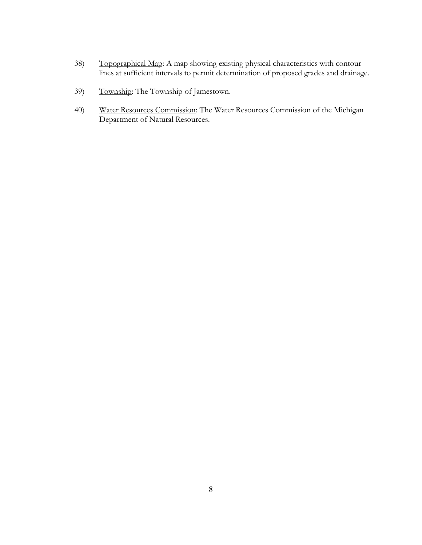- 38) Topographical Map: A map showing existing physical characteristics with contour lines at sufficient intervals to permit determination of proposed grades and drainage.
- 39) Township: The Township of Jamestown.
- 40) Water Resources Commission: The Water Resources Commission of the Michigan Department of Natural Resources.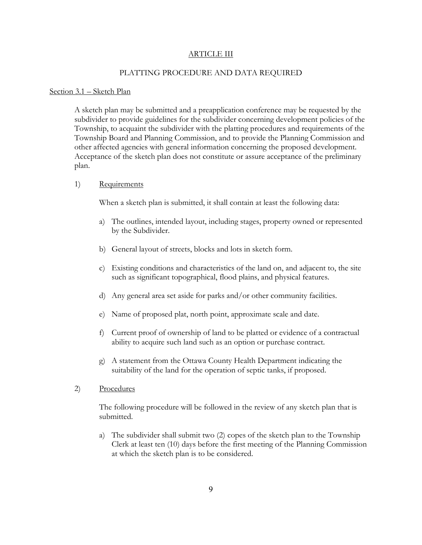#### ARTICLE III

#### PLATTING PROCEDURE AND DATA REQUIRED

#### Section 3.1 – Sketch Plan

A sketch plan may be submitted and a preapplication conference may be requested by the subdivider to provide guidelines for the subdivider concerning development policies of the Township, to acquaint the subdivider with the platting procedures and requirements of the Township Board and Planning Commission, and to provide the Planning Commission and other affected agencies with general information concerning the proposed development. Acceptance of the sketch plan does not constitute or assure acceptance of the preliminary plan.

#### 1) Requirements

When a sketch plan is submitted, it shall contain at least the following data:

- a) The outlines, intended layout, including stages, property owned or represented by the Subdivider.
- b) General layout of streets, blocks and lots in sketch form.
- c) Existing conditions and characteristics of the land on, and adjacent to, the site such as significant topographical, flood plains, and physical features.
- d) Any general area set aside for parks and/or other community facilities.
- e) Name of proposed plat, north point, approximate scale and date.
- f) Current proof of ownership of land to be platted or evidence of a contractual ability to acquire such land such as an option or purchase contract.
- g) A statement from the Ottawa County Health Department indicating the suitability of the land for the operation of septic tanks, if proposed.
- 2) Procedures

The following procedure will be followed in the review of any sketch plan that is submitted.

a) The subdivider shall submit two (2) copes of the sketch plan to the Township Clerk at least ten (10) days before the first meeting of the Planning Commission at which the sketch plan is to be considered.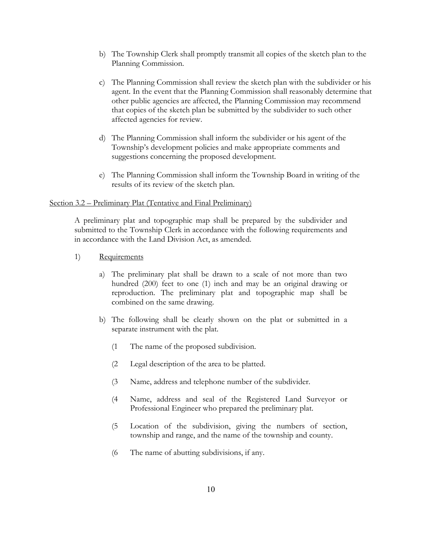- b) The Township Clerk shall promptly transmit all copies of the sketch plan to the Planning Commission.
- c) The Planning Commission shall review the sketch plan with the subdivider or his agent. In the event that the Planning Commission shall reasonably determine that other public agencies are affected, the Planning Commission may recommend that copies of the sketch plan be submitted by the subdivider to such other affected agencies for review.
- d) The Planning Commission shall inform the subdivider or his agent of the Township's development policies and make appropriate comments and suggestions concerning the proposed development.
- e) The Planning Commission shall inform the Township Board in writing of the results of its review of the sketch plan.

#### Section 3.2 – Preliminary Plat (Tentative and Final Preliminary)

A preliminary plat and topographic map shall be prepared by the subdivider and submitted to the Township Clerk in accordance with the following requirements and in accordance with the Land Division Act, as amended.

- 1) Requirements
	- a) The preliminary plat shall be drawn to a scale of not more than two hundred (200) feet to one (1) inch and may be an original drawing or reproduction. The preliminary plat and topographic map shall be combined on the same drawing.
	- b) The following shall be clearly shown on the plat or submitted in a separate instrument with the plat.
		- (1 The name of the proposed subdivision.
		- (2 Legal description of the area to be platted.
		- (3 Name, address and telephone number of the subdivider.
		- (4 Name, address and seal of the Registered Land Surveyor or Professional Engineer who prepared the preliminary plat.
		- (5 Location of the subdivision, giving the numbers of section, township and range, and the name of the township and county.
		- (6 The name of abutting subdivisions, if any.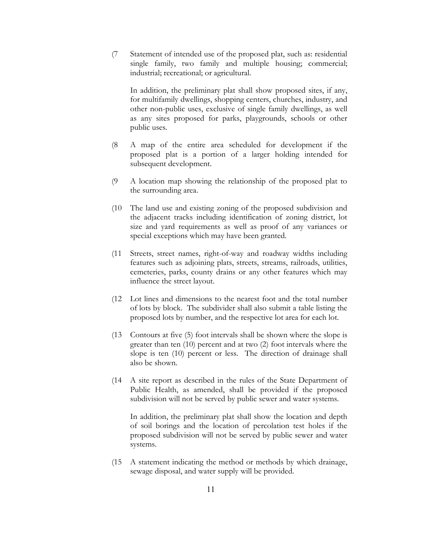(7 Statement of intended use of the proposed plat, such as: residential single family, two family and multiple housing; commercial; industrial; recreational; or agricultural.

In addition, the preliminary plat shall show proposed sites, if any, for multifamily dwellings, shopping centers, churches, industry, and other non-public uses, exclusive of single family dwellings, as well as any sites proposed for parks, playgrounds, schools or other public uses.

- (8 A map of the entire area scheduled for development if the proposed plat is a portion of a larger holding intended for subsequent development.
- (9 A location map showing the relationship of the proposed plat to the surrounding area.
- (10 The land use and existing zoning of the proposed subdivision and the adjacent tracks including identification of zoning district, lot size and yard requirements as well as proof of any variances or special exceptions which may have been granted.
- (11 Streets, street names, right-of-way and roadway widths including features such as adjoining plats, streets, streams, railroads, utilities, cemeteries, parks, county drains or any other features which may influence the street layout.
- (12 Lot lines and dimensions to the nearest foot and the total number of lots by block. The subdivider shall also submit a table listing the proposed lots by number, and the respective lot area for each lot.
- (13 Contours at five (5) foot intervals shall be shown where the slope is greater than ten (10) percent and at two (2) foot intervals where the slope is ten (10) percent or less. The direction of drainage shall also be shown.
- (14 A site report as described in the rules of the State Department of Public Health, as amended, shall be provided if the proposed subdivision will not be served by public sewer and water systems.

In addition, the preliminary plat shall show the location and depth of soil borings and the location of percolation test holes if the proposed subdivision will not be served by public sewer and water systems.

(15 A statement indicating the method or methods by which drainage, sewage disposal, and water supply will be provided.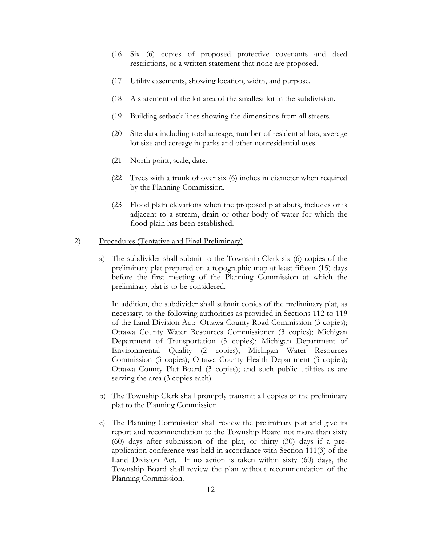- (16 Six (6) copies of proposed protective covenants and deed restrictions, or a written statement that none are proposed.
- (17 Utility easements, showing location, width, and purpose.
- (18 A statement of the lot area of the smallest lot in the subdivision.
- (19 Building setback lines showing the dimensions from all streets.
- (20 Site data including total acreage, number of residential lots, average lot size and acreage in parks and other nonresidential uses.
- (21 North point, scale, date.
- (22 Trees with a trunk of over six (6) inches in diameter when required by the Planning Commission.
- (23 Flood plain elevations when the proposed plat abuts, includes or is adjacent to a stream, drain or other body of water for which the flood plain has been established.

#### 2) Procedures (Tentative and Final Preliminary)

a) The subdivider shall submit to the Township Clerk six (6) copies of the preliminary plat prepared on a topographic map at least fifteen (15) days before the first meeting of the Planning Commission at which the preliminary plat is to be considered.

In addition, the subdivider shall submit copies of the preliminary plat, as necessary, to the following authorities as provided in Sections 112 to 119 of the Land Division Act: Ottawa County Road Commission (3 copies); Ottawa County Water Resources Commissioner (3 copies); Michigan Department of Transportation (3 copies); Michigan Department of Environmental Quality (2 copies); Michigan Water Resources Commission (3 copies); Ottawa County Health Department (3 copies); Ottawa County Plat Board (3 copies); and such public utilities as are serving the area  $(3 \text{ copies each}).$ 

- b) The Township Clerk shall promptly transmit all copies of the preliminary plat to the Planning Commission.
- c) The Planning Commission shall review the preliminary plat and give its report and recommendation to the Township Board not more than sixty (60) days after submission of the plat, or thirty (30) days if a preapplication conference was held in accordance with Section 111(3) of the Land Division Act. If no action is taken within sixty (60) days, the Township Board shall review the plan without recommendation of the Planning Commission.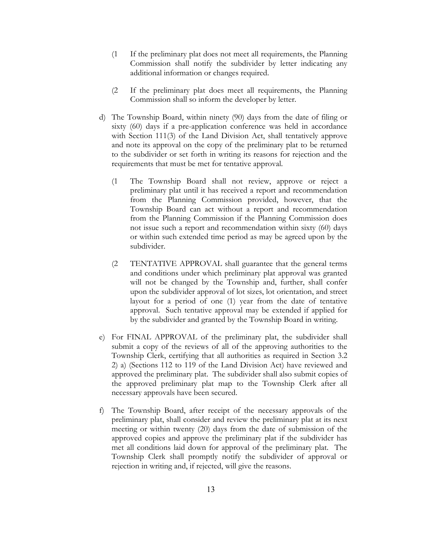- (1 If the preliminary plat does not meet all requirements, the Planning Commission shall notify the subdivider by letter indicating any additional information or changes required.
- (2 If the preliminary plat does meet all requirements, the Planning Commission shall so inform the developer by letter.
- d) The Township Board, within ninety (90) days from the date of filing or sixty (60) days if a pre-application conference was held in accordance with Section 111(3) of the Land Division Act, shall tentatively approve and note its approval on the copy of the preliminary plat to be returned to the subdivider or set forth in writing its reasons for rejection and the requirements that must be met for tentative approval.
	- (1 The Township Board shall not review, approve or reject a preliminary plat until it has received a report and recommendation from the Planning Commission provided, however, that the Township Board can act without a report and recommendation from the Planning Commission if the Planning Commission does not issue such a report and recommendation within sixty (60) days or within such extended time period as may be agreed upon by the subdivider.
	- (2 TENTATIVE APPROVAL shall guarantee that the general terms and conditions under which preliminary plat approval was granted will not be changed by the Township and, further, shall confer upon the subdivider approval of lot sizes, lot orientation, and street layout for a period of one (1) year from the date of tentative approval. Such tentative approval may be extended if applied for by the subdivider and granted by the Township Board in writing.
- e) For FINAL APPROVAL of the preliminary plat, the subdivider shall submit a copy of the reviews of all of the approving authorities to the Township Clerk, certifying that all authorities as required in Section 3.2 2) a) (Sections 112 to 119 of the Land Division Act) have reviewed and approved the preliminary plat. The subdivider shall also submit copies of the approved preliminary plat map to the Township Clerk after all necessary approvals have been secured.
- f) The Township Board, after receipt of the necessary approvals of the preliminary plat, shall consider and review the preliminary plat at its next meeting or within twenty (20) days from the date of submission of the approved copies and approve the preliminary plat if the subdivider has met all conditions laid down for approval of the preliminary plat. The Township Clerk shall promptly notify the subdivider of approval or rejection in writing and, if rejected, will give the reasons.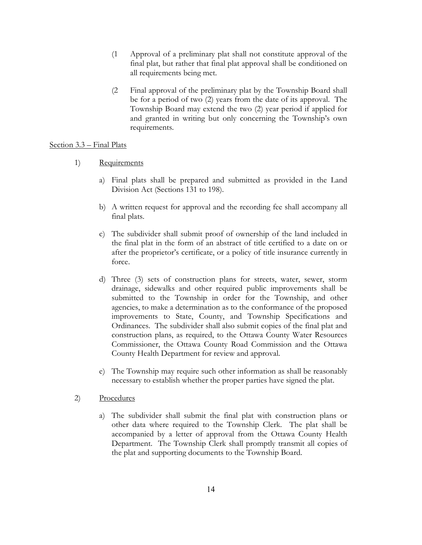- (1 Approval of a preliminary plat shall not constitute approval of the final plat, but rather that final plat approval shall be conditioned on all requirements being met.
- (2 Final approval of the preliminary plat by the Township Board shall be for a period of two (2) years from the date of its approval. The Township Board may extend the two (2) year period if applied for and granted in writing but only concerning the Township's own requirements.

#### Section 3.3 – Final Plats

- 1) Requirements
	- a) Final plats shall be prepared and submitted as provided in the Land Division Act (Sections 131 to 198).
	- b) A written request for approval and the recording fee shall accompany all final plats.
	- c) The subdivider shall submit proof of ownership of the land included in the final plat in the form of an abstract of title certified to a date on or after the proprietor's certificate, or a policy of title insurance currently in force.
	- d) Three (3) sets of construction plans for streets, water, sewer, storm drainage, sidewalks and other required public improvements shall be submitted to the Township in order for the Township, and other agencies, to make a determination as to the conformance of the proposed improvements to State, County, and Township Specifications and Ordinances. The subdivider shall also submit copies of the final plat and construction plans, as required, to the Ottawa County Water Resources Commissioner, the Ottawa County Road Commission and the Ottawa County Health Department for review and approval.
	- e) The Township may require such other information as shall be reasonably necessary to establish whether the proper parties have signed the plat.
- 2) Procedures
	- a) The subdivider shall submit the final plat with construction plans or other data where required to the Township Clerk. The plat shall be accompanied by a letter of approval from the Ottawa County Health Department. The Township Clerk shall promptly transmit all copies of the plat and supporting documents to the Township Board.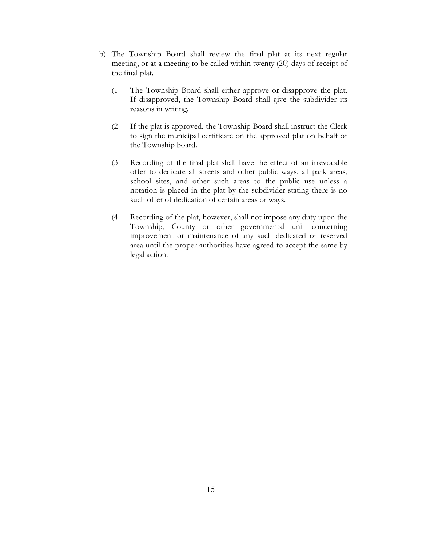- b) The Township Board shall review the final plat at its next regular meeting, or at a meeting to be called within twenty (20) days of receipt of the final plat.
	- (1 The Township Board shall either approve or disapprove the plat. If disapproved, the Township Board shall give the subdivider its reasons in writing.
	- (2 If the plat is approved, the Township Board shall instruct the Clerk to sign the municipal certificate on the approved plat on behalf of the Township board.
	- (3 Recording of the final plat shall have the effect of an irrevocable offer to dedicate all streets and other public ways, all park areas, school sites, and other such areas to the public use unless a notation is placed in the plat by the subdivider stating there is no such offer of dedication of certain areas or ways.
	- (4 Recording of the plat, however, shall not impose any duty upon the Township, County or other governmental unit concerning improvement or maintenance of any such dedicated or reserved area until the proper authorities have agreed to accept the same by legal action.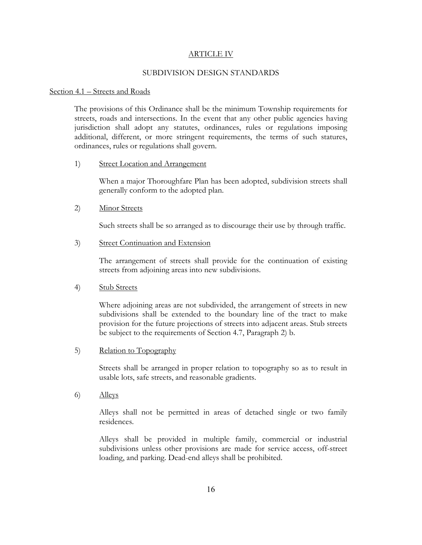#### ARTICLE IV

#### SUBDIVISION DESIGN STANDARDS

#### Section 4.1 – Streets and Roads

The provisions of this Ordinance shall be the minimum Township requirements for streets, roads and intersections. In the event that any other public agencies having jurisdiction shall adopt any statutes, ordinances, rules or regulations imposing additional, different, or more stringent requirements, the terms of such statures, ordinances, rules or regulations shall govern.

#### 1) Street Location and Arrangement

When a major Thoroughfare Plan has been adopted, subdivision streets shall generally conform to the adopted plan.

# 2) Minor Streets

Such streets shall be so arranged as to discourage their use by through traffic.

#### 3) Street Continuation and Extension

The arrangement of streets shall provide for the continuation of existing streets from adjoining areas into new subdivisions.

# 4) Stub Streets

Where adjoining areas are not subdivided, the arrangement of streets in new subdivisions shall be extended to the boundary line of the tract to make provision for the future projections of streets into adjacent areas. Stub streets be subject to the requirements of Section 4.7, Paragraph 2) b.

#### 5) Relation to Topography

Streets shall be arranged in proper relation to topography so as to result in usable lots, safe streets, and reasonable gradients.

6) Alleys

Alleys shall not be permitted in areas of detached single or two family residences.

Alleys shall be provided in multiple family, commercial or industrial subdivisions unless other provisions are made for service access, off-street loading, and parking. Dead-end alleys shall be prohibited.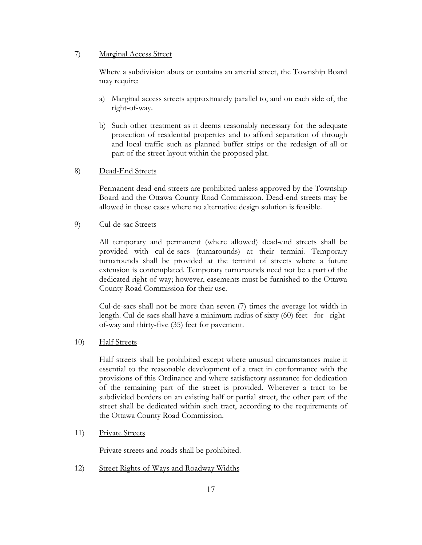# 7) Marginal Access Street

Where a subdivision abuts or contains an arterial street, the Township Board may require:

- a) Marginal access streets approximately parallel to, and on each side of, the right-of-way.
- b) Such other treatment as it deems reasonably necessary for the adequate protection of residential properties and to afford separation of through and local traffic such as planned buffer strips or the redesign of all or part of the street layout within the proposed plat.

#### 8) Dead-End Streets

Permanent dead-end streets are prohibited unless approved by the Township Board and the Ottawa County Road Commission. Dead-end streets may be allowed in those cases where no alternative design solution is feasible.

# 9) Cul-de-sac Streets

All temporary and permanent (where allowed) dead-end streets shall be provided with cul-de-sacs (turnarounds) at their termini. Temporary turnarounds shall be provided at the termini of streets where a future extension is contemplated. Temporary turnarounds need not be a part of the dedicated right-of-way; however, easements must be furnished to the Ottawa County Road Commission for their use.

Cul-de-sacs shall not be more than seven (7) times the average lot width in length. Cul-de-sacs shall have a minimum radius of sixty (60) feet for rightof-way and thirty-five (35) feet for pavement.

10) Half Streets

Half streets shall be prohibited except where unusual circumstances make it essential to the reasonable development of a tract in conformance with the provisions of this Ordinance and where satisfactory assurance for dedication of the remaining part of the street is provided. Wherever a tract to be subdivided borders on an existing half or partial street, the other part of the street shall be dedicated within such tract, according to the requirements of the Ottawa County Road Commission.

#### 11) Private Streets

Private streets and roads shall be prohibited.

12) Street Rights-of-Ways and Roadway Widths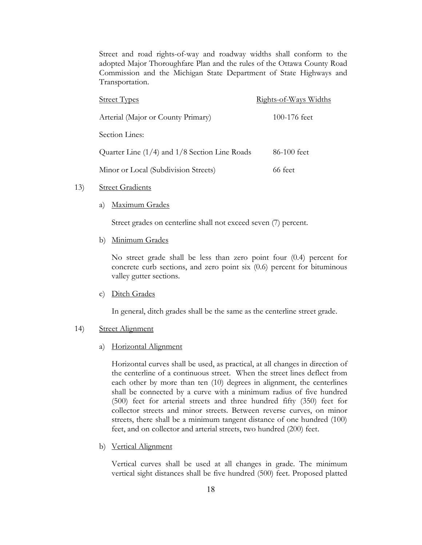Street and road rights-of-way and roadway widths shall conform to the adopted Major Thoroughfare Plan and the rules of the Ottawa County Road Commission and the Michigan State Department of State Highways and Transportation.

| <b>Street Types</b>                               | <u>Rights-of-Ways Widths</u> |
|---------------------------------------------------|------------------------------|
| Arterial (Major or County Primary)                | 100-176 feet                 |
| Section Lines:                                    |                              |
| Quarter Line $(1/4)$ and $1/8$ Section Line Roads | 86-100 feet                  |
| Minor or Local (Subdivision Streets)              | 66 feet                      |

#### 13) Street Gradients

a) Maximum Grades

Street grades on centerline shall not exceed seven (7) percent.

b) Minimum Grades

No street grade shall be less than zero point four (0.4) percent for concrete curb sections, and zero point six (0.6) percent for bituminous valley gutter sections.

c) Ditch Grades

In general, ditch grades shall be the same as the centerline street grade.

#### 14) Street Alignment

a) Horizontal Alignment

Horizontal curves shall be used, as practical, at all changes in direction of the centerline of a continuous street. When the street lines deflect from each other by more than ten (10) degrees in alignment, the centerlines shall be connected by a curve with a minimum radius of five hundred (500) feet for arterial streets and three hundred fifty (350) feet for collector streets and minor streets. Between reverse curves, on minor streets, there shall be a minimum tangent distance of one hundred (100) feet, and on collector and arterial streets, two hundred (200) feet.

b) Vertical Alignment

Vertical curves shall be used at all changes in grade. The minimum vertical sight distances shall be five hundred (500) feet. Proposed platted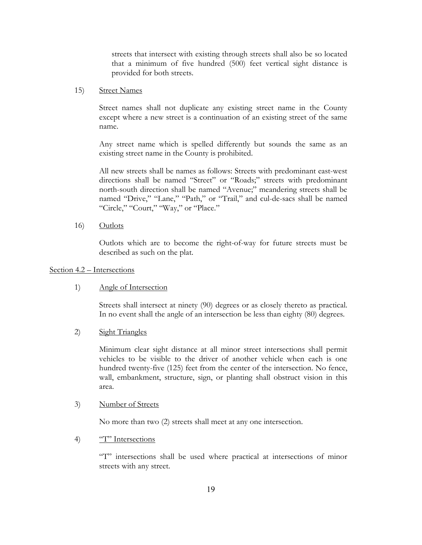streets that intersect with existing through streets shall also be so located that a minimum of five hundred (500) feet vertical sight distance is provided for both streets.

#### 15) Street Names

Street names shall not duplicate any existing street name in the County except where a new street is a continuation of an existing street of the same name.

Any street name which is spelled differently but sounds the same as an existing street name in the County is prohibited.

All new streets shall be names as follows: Streets with predominant east-west directions shall be named "Street" or "Roads;" streets with predominant north-south direction shall be named "Avenue;" meandering streets shall be named "Drive," "Lane," "Path," or "Trail," and cul-de-sacs shall be named "Circle," "Court," "Way," or "Place."

16) Outlots

Outlots which are to become the right-of-way for future streets must be described as such on the plat.

# Section 4.2 – Intersections

# 1) Angle of Intersection

Streets shall intersect at ninety (90) degrees or as closely thereto as practical. In no event shall the angle of an intersection be less than eighty (80) degrees.

2) Sight Triangles

Minimum clear sight distance at all minor street intersections shall permit vehicles to be visible to the driver of another vehicle when each is one hundred twenty-five (125) feet from the center of the intersection. No fence, wall, embankment, structure, sign, or planting shall obstruct vision in this area.

#### 3) Number of Streets

No more than two (2) streets shall meet at any one intersection.

# 4) <sup>"T"</sup> Intersections

"T" intersections shall be used where practical at intersections of minor streets with any street.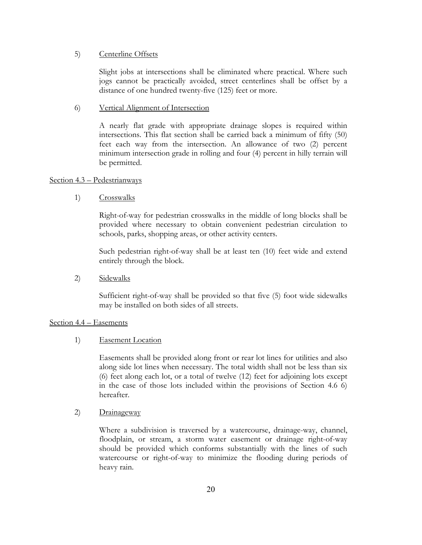## 5) Centerline Offsets

Slight jobs at intersections shall be eliminated where practical. Where such jogs cannot be practically avoided, street centerlines shall be offset by a distance of one hundred twenty-five (125) feet or more.

#### 6) Vertical Alignment of Intersection

A nearly flat grade with appropriate drainage slopes is required within intersections. This flat section shall be carried back a minimum of fifty (50) feet each way from the intersection. An allowance of two (2) percent minimum intersection grade in rolling and four (4) percent in hilly terrain will be permitted.

#### Section 4.3 – Pedestrianways

1) Crosswalks

Right-of-way for pedestrian crosswalks in the middle of long blocks shall be provided where necessary to obtain convenient pedestrian circulation to schools, parks, shopping areas, or other activity centers.

Such pedestrian right-of-way shall be at least ten (10) feet wide and extend entirely through the block.

2) Sidewalks

Sufficient right-of-way shall be provided so that five (5) foot wide sidewalks may be installed on both sides of all streets.

# Section 4.4 – Easements

# 1) Easement Location

Easements shall be provided along front or rear lot lines for utilities and also along side lot lines when necessary. The total width shall not be less than six (6) feet along each lot, or a total of twelve (12) feet for adjoining lots except in the case of those lots included within the provisions of Section 4.6 6) hereafter.

# 2) Drainageway

Where a subdivision is traversed by a watercourse, drainage-way, channel, floodplain, or stream, a storm water easement or drainage right-of-way should be provided which conforms substantially with the lines of such watercourse or right-of-way to minimize the flooding during periods of heavy rain.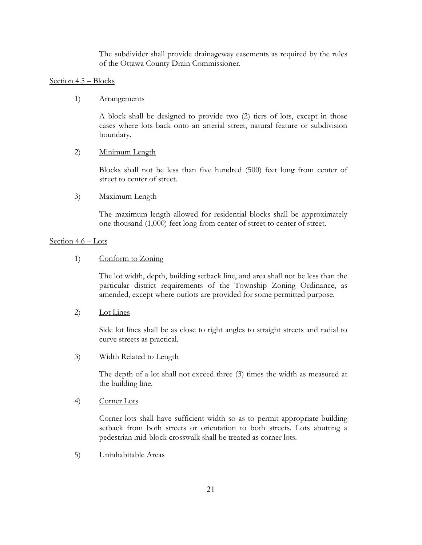The subdivider shall provide drainageway easements as required by the rules of the Ottawa County Drain Commissioner.

# Section 4.5 – Blocks

# 1) Arrangements

A block shall be designed to provide two (2) tiers of lots, except in those cases where lots back onto an arterial street, natural feature or subdivision boundary.

# 2) Minimum Length

Blocks shall not be less than five hundred (500) feet long from center of street to center of street.

# 3) Maximum Length

The maximum length allowed for residential blocks shall be approximately one thousand (1,000) feet long from center of street to center of street.

# Section 4.6 – Lots

# 1) Conform to Zoning

The lot width, depth, building setback line, and area shall not be less than the particular district requirements of the Township Zoning Ordinance, as amended, except where outlots are provided for some permitted purpose.

# 2) Lot Lines

Side lot lines shall be as close to right angles to straight streets and radial to curve streets as practical.

# 3) Width Related to Length

The depth of a lot shall not exceed three (3) times the width as measured at the building line.

# 4) Corner Lots

Corner lots shall have sufficient width so as to permit appropriate building setback from both streets or orientation to both streets. Lots abutting a pedestrian mid-block crosswalk shall be treated as corner lots.

5) Uninhabitable Areas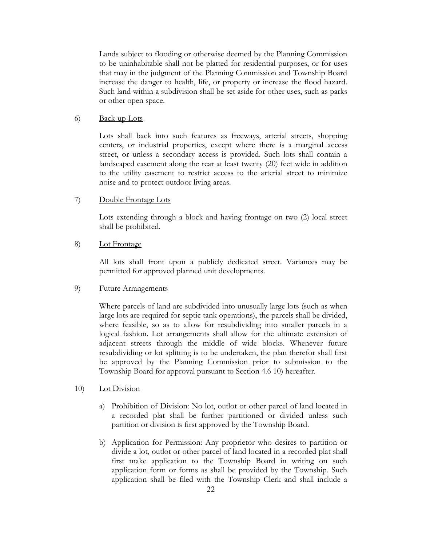Lands subject to flooding or otherwise deemed by the Planning Commission to be uninhabitable shall not be platted for residential purposes, or for uses that may in the judgment of the Planning Commission and Township Board increase the danger to health, life, or property or increase the flood hazard. Such land within a subdivision shall be set aside for other uses, such as parks or other open space.

# 6) Back-up-Lots

Lots shall back into such features as freeways, arterial streets, shopping centers, or industrial properties, except where there is a marginal access street, or unless a secondary access is provided. Such lots shall contain a landscaped easement along the rear at least twenty (20) feet wide in addition to the utility easement to restrict access to the arterial street to minimize noise and to protect outdoor living areas.

# 7) Double Frontage Lots

Lots extending through a block and having frontage on two (2) local street shall be prohibited.

# 8) Lot Frontage

All lots shall front upon a publicly dedicated street. Variances may be permitted for approved planned unit developments.

# 9) Future Arrangements

Where parcels of land are subdivided into unusually large lots (such as when large lots are required for septic tank operations), the parcels shall be divided, where feasible, so as to allow for resubdividing into smaller parcels in a logical fashion. Lot arrangements shall allow for the ultimate extension of adjacent streets through the middle of wide blocks. Whenever future resubdividing or lot splitting is to be undertaken, the plan therefor shall first be approved by the Planning Commission prior to submission to the Township Board for approval pursuant to Section 4.6 10) hereafter.

# 10) Lot Division

- a) Prohibition of Division: No lot, outlot or other parcel of land located in a recorded plat shall be further partitioned or divided unless such partition or division is first approved by the Township Board.
- b) Application for Permission: Any proprietor who desires to partition or divide a lot, outlot or other parcel of land located in a recorded plat shall first make application to the Township Board in writing on such application form or forms as shall be provided by the Township. Such application shall be filed with the Township Clerk and shall include a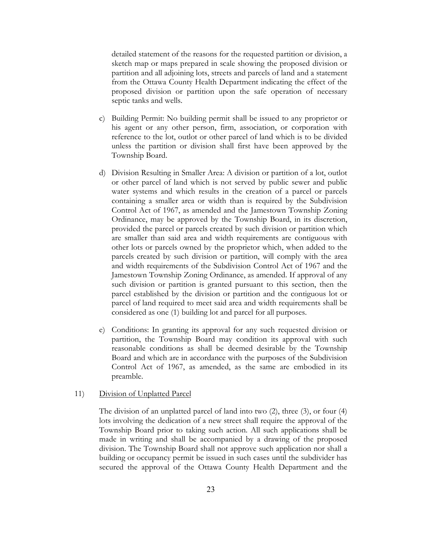detailed statement of the reasons for the requested partition or division, a sketch map or maps prepared in scale showing the proposed division or partition and all adjoining lots, streets and parcels of land and a statement from the Ottawa County Health Department indicating the effect of the proposed division or partition upon the safe operation of necessary septic tanks and wells.

- c) Building Permit: No building permit shall be issued to any proprietor or his agent or any other person, firm, association, or corporation with reference to the lot, outlot or other parcel of land which is to be divided unless the partition or division shall first have been approved by the Township Board.
- d) Division Resulting in Smaller Area: A division or partition of a lot, outlot or other parcel of land which is not served by public sewer and public water systems and which results in the creation of a parcel or parcels containing a smaller area or width than is required by the Subdivision Control Act of 1967, as amended and the Jamestown Township Zoning Ordinance, may be approved by the Township Board, in its discretion, provided the parcel or parcels created by such division or partition which are smaller than said area and width requirements are contiguous with other lots or parcels owned by the proprietor which, when added to the parcels created by such division or partition, will comply with the area and width requirements of the Subdivision Control Act of 1967 and the Jamestown Township Zoning Ordinance, as amended. If approval of any such division or partition is granted pursuant to this section, then the parcel established by the division or partition and the contiguous lot or parcel of land required to meet said area and width requirements shall be considered as one (1) building lot and parcel for all purposes.
- e) Conditions: In granting its approval for any such requested division or partition, the Township Board may condition its approval with such reasonable conditions as shall be deemed desirable by the Township Board and which are in accordance with the purposes of the Subdivision Control Act of 1967, as amended, as the same are embodied in its preamble.

#### 11) Division of Unplatted Parcel

The division of an unplatted parcel of land into two (2), three (3), or four (4) lots involving the dedication of a new street shall require the approval of the Township Board prior to taking such action. All such applications shall be made in writing and shall be accompanied by a drawing of the proposed division. The Township Board shall not approve such application nor shall a building or occupancy permit be issued in such cases until the subdivider has secured the approval of the Ottawa County Health Department and the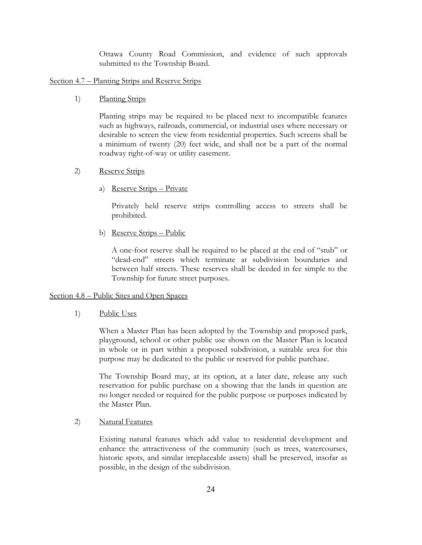Ottawa County Road Commission, and evidence of such approvals submitted to the Township Board.

# Section 4.7 – Planting Strips and Reserve Strips

1) Planting Strips

Planting strips may be required to be placed next to incompatible features such as highways, railroads, commercial, or industrial uses where necessary or desirable to screen the view from residential properties. Such screens shall be a minimum of twenty (20) feet wide, and shall not be a part of the normal roadway right-of-way or utility easement.

#### 2) Reserve Strips

a) Reserve Strips – Private

Privately held reserve strips controlling access to streets shall be prohibited.

b) Reserve Strips – Public

A one-foot reserve shall be required to be placed at the end of "stub" or "dead-end" streets which terminate at subdivision boundaries and between half streets. These reserves shall be deeded in fee simple to the Township for future street purposes.

# Section 4.8 – Public Sites and Open Spaces

1) Public Uses

When a Master Plan has been adopted by the Township and proposed park, playground, school or other public use shown on the Master Plan is located in whole or in part within a proposed subdivision, a suitable area for this purpose may be dedicated to the public or reserved for public purchase.

The Township Board may, at its option, at a later date, release any such reservation for public purchase on a showing that the lands in question are no longer needed or required for the public purpose or purposes indicated by the Master Plan.

2) Natural Features

Existing natural features which add value to residential development and enhance the attractiveness of the community (such as trees, watercourses, historic spots, and similar irreplaceable assets) shall be preserved, insofar as possible, in the design of the subdivision.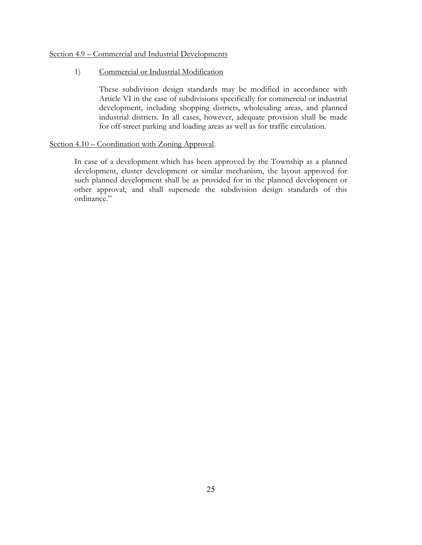# Section 4.9 – Commercial and Industrial Developments

# 1) Commercial or Industrial Modification

These subdivision design standards may be modified in accordance with Article VI in the case of subdivisions specifically for commercial or industrial development, including shopping districts, wholesaling areas, and planned industrial districts. In all cases, however, adequate provision shall be made for off-street parking and loading areas as well as for traffic circulation.

# Section 4.10 – Coordination with Zoning Approval.

In case of a development which has been approved by the Township as a planned development, cluster development or similar mechanism, the layout approved for such planned development shall be as provided for in the planned development or other approval, and shall supersede the subdivision design standards of this ordinance."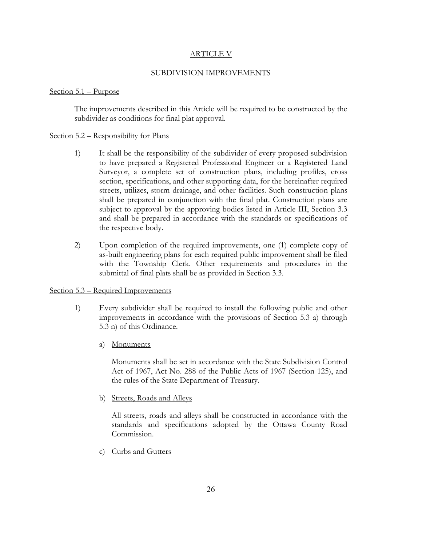# ARTICLE V

#### SUBDIVISION IMPROVEMENTS

#### Section 5.1 – Purpose

The improvements described in this Article will be required to be constructed by the subdivider as conditions for final plat approval.

#### Section 5.2 – Responsibility for Plans

- 1) It shall be the responsibility of the subdivider of every proposed subdivision to have prepared a Registered Professional Engineer or a Registered Land Surveyor, a complete set of construction plans, including profiles, cross section, specifications, and other supporting data, for the hereinafter required streets, utilizes, storm drainage, and other facilities. Such construction plans shall be prepared in conjunction with the final plat. Construction plans are subject to approval by the approving bodies listed in Article III, Section 3.3 and shall be prepared in accordance with the standards or specifications of the respective body.
- 2) Upon completion of the required improvements, one (1) complete copy of as-built engineering plans for each required public improvement shall be filed with the Township Clerk. Other requirements and procedures in the submittal of final plats shall be as provided in Section 3.3.

# Section 5.3 – Required Improvements

- 1) Every subdivider shall be required to install the following public and other improvements in accordance with the provisions of Section 5.3 a) through 5.3 n) of this Ordinance.
	- a) Monuments

Monuments shall be set in accordance with the State Subdivision Control Act of 1967, Act No. 288 of the Public Acts of 1967 (Section 125), and the rules of the State Department of Treasury.

b) Streets, Roads and Alleys

All streets, roads and alleys shall be constructed in accordance with the standards and specifications adopted by the Ottawa County Road Commission.

c) Curbs and Gutters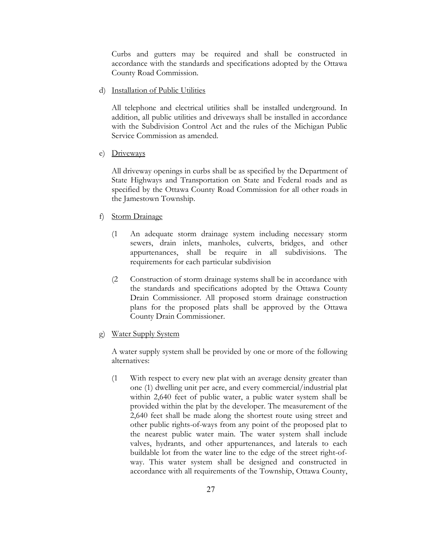Curbs and gutters may be required and shall be constructed in accordance with the standards and specifications adopted by the Ottawa County Road Commission.

d) Installation of Public Utilities

All telephone and electrical utilities shall be installed underground. In addition, all public utilities and driveways shall be installed in accordance with the Subdivision Control Act and the rules of the Michigan Public Service Commission as amended.

e) Driveways

All driveway openings in curbs shall be as specified by the Department of State Highways and Transportation on State and Federal roads and as specified by the Ottawa County Road Commission for all other roads in the Jamestown Township.

- f) Storm Drainage
	- (1 An adequate storm drainage system including necessary storm sewers, drain inlets, manholes, culverts, bridges, and other appurtenances, shall be require in all subdivisions. The requirements for each particular subdivision
	- (2 Construction of storm drainage systems shall be in accordance with the standards and specifications adopted by the Ottawa County Drain Commissioner. All proposed storm drainage construction plans for the proposed plats shall be approved by the Ottawa County Drain Commissioner.
- g) Water Supply System

A water supply system shall be provided by one or more of the following alternatives:

(1 With respect to every new plat with an average density greater than one (1) dwelling unit per acre, and every commercial/industrial plat within 2,640 feet of public water, a public water system shall be provided within the plat by the developer. The measurement of the 2,640 feet shall be made along the shortest route using street and other public rights-of-ways from any point of the proposed plat to the nearest public water main. The water system shall include valves, hydrants, and other appurtenances, and laterals to each buildable lot from the water line to the edge of the street right-ofway. This water system shall be designed and constructed in accordance with all requirements of the Township, Ottawa County,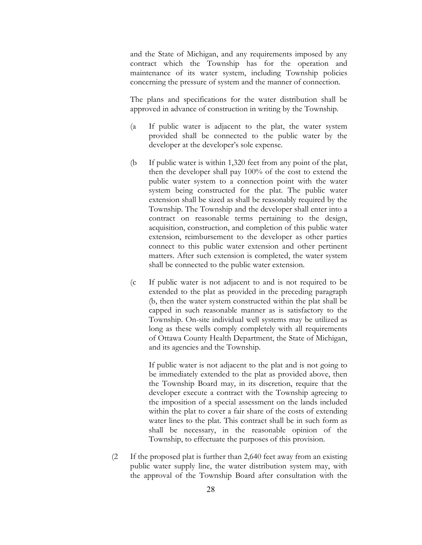and the State of Michigan, and any requirements imposed by any contract which the Township has for the operation and maintenance of its water system, including Township policies concerning the pressure of system and the manner of connection.

The plans and specifications for the water distribution shall be approved in advance of construction in writing by the Township.

- (a If public water is adjacent to the plat, the water system provided shall be connected to the public water by the developer at the developer's sole expense.
- (b If public water is within 1,320 feet from any point of the plat, then the developer shall pay 100% of the cost to extend the public water system to a connection point with the water system being constructed for the plat. The public water extension shall be sized as shall be reasonably required by the Township. The Township and the developer shall enter into a contract on reasonable terms pertaining to the design, acquisition, construction, and completion of this public water extension, reimbursement to the developer as other parties connect to this public water extension and other pertinent matters. After such extension is completed, the water system shall be connected to the public water extension.
- (c If public water is not adjacent to and is not required to be extended to the plat as provided in the preceding paragraph (b, then the water system constructed within the plat shall be capped in such reasonable manner as is satisfactory to the Township. On-site individual well systems may be utilized as long as these wells comply completely with all requirements of Ottawa County Health Department, the State of Michigan, and its agencies and the Township.

If public water is not adjacent to the plat and is not going to be immediately extended to the plat as provided above, then the Township Board may, in its discretion, require that the developer execute a contract with the Township agreeing to the imposition of a special assessment on the lands included within the plat to cover a fair share of the costs of extending water lines to the plat. This contract shall be in such form as shall be necessary, in the reasonable opinion of the Township, to effectuate the purposes of this provision.

(2 If the proposed plat is further than 2,640 feet away from an existing public water supply line, the water distribution system may, with the approval of the Township Board after consultation with the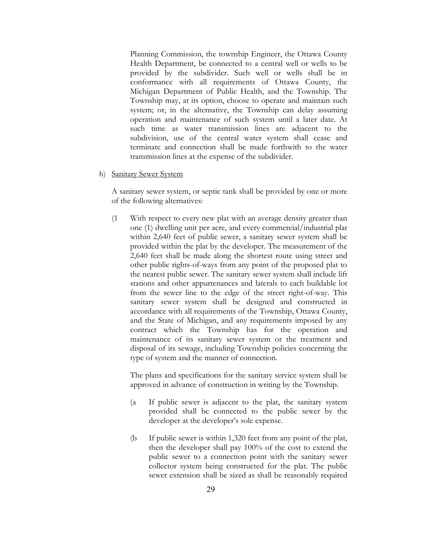Planning Commission, the township Engineer, the Ottawa County Health Department, be connected to a central well or wells to be provided by the subdivider. Such well or wells shall be in conformance with all requirements of Ottawa County, the Michigan Department of Public Health, and the Township. The Township may, at its option, choose to operate and maintain such system; or, in the alternative, the Township can delay assuming operation and maintenance of such system until a later date. At such time as water transmission lines are adjacent to the subdivision, use of the central water system shall cease and terminate and connection shall be made forthwith to the water transmission lines at the expense of the subdivider.

h) Sanitary Sewer System

A sanitary sewer system, or septic tank shall be provided by one or more of the following alternatives:

(1 With respect to every new plat with an average density greater than one (1) dwelling unit per acre, and every commercial/industrial plat within 2,640 feet of public sewer, a sanitary sewer system shall be provided within the plat by the developer. The measurement of the 2,640 feet shall be made along the shortest route using street and other public rights-of-ways from any point of the proposed plat to the nearest public sewer. The sanitary sewer system shall include lift stations and other appurtenances and laterals to each buildable lot from the sewer line to the edge of the street right-of-way. This sanitary sewer system shall be designed and constructed in accordance with all requirements of the Township, Ottawa County, and the State of Michigan, and any requirements imposed by any contract which the Township has for the operation and maintenance of its sanitary sewer system or the treatment and disposal of its sewage, including Township policies concerning the type of system and the manner of connection.

The plans and specifications for the sanitary service system shall be approved in advance of construction in writing by the Township.

- (a If public sewer is adjacent to the plat, the sanitary system provided shall be connected to the public sewer by the developer at the developer's sole expense.
- (b If public sewer is within 1,320 feet from any point of the plat, then the developer shall pay 100% of the cost to extend the public sewer to a connection point with the sanitary sewer collector system being constructed for the plat. The public sewer extension shall be sized as shall be reasonably required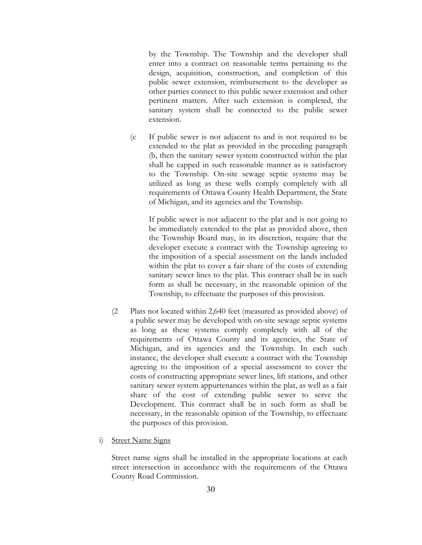by the Township. The Township and the developer shall enter into a contract on reasonable terms pertaining to the design, acquisition, construction, and completion of this public sewer extension, reimbursement to the developer as other parties connect to this public sewer extension and other pertinent matters. After such extension is completed, the sanitary system shall be connected to the public sewer extension.

(c If public sewer is not adjacent to and is not required to be extended to the plat as provided in the preceding paragraph (b, then the sanitary sewer system constructed within the plat shall be capped in such reasonable manner as is satisfactory to the Township. On-site sewage septic systems may be utilized as long as these wells comply completely with all requirements of Ottawa County Health Department, the State of Michigan, and its agencies and the Township.

If public sewer is not adjacent to the plat and is not going to be immediately extended to the plat as provided above, then the Township Board may, in its discretion, require that the developer execute a contract with the Township agreeing to the imposition of a special assessment on the lands included within the plat to cover a fair share of the costs of extending sanitary sewer lines to the plat. This contract shall be in such form as shall be necessary, in the reasonable opinion of the Township, to effectuate the purposes of this provision.

- (2 Plats not located within 2,640 feet (measured as provided above) of a public sewer may be developed with on-site sewage septic systems as long as these systems comply completely with all of the requirements of Ottawa County and its agencies, the State of Michigan, and its agencies and the Township. In each such instance, the developer shall execute a contract with the Township agreeing to the imposition of a special assessment to cover the costs of constructing appropriate sewer lines, lift stations, and other sanitary sewer system appurtenances within the plat, as well as a fair share of the cost of extending public sewer to serve the Development. This contract shall be in such form as shall be necessary, in the reasonable opinion of the Township, to effectuate the purposes of this provision.
- i) Street Name Signs

Street name signs shall be installed in the appropriate locations at each street intersection in accordance with the requirements of the Ottawa County Road Commission.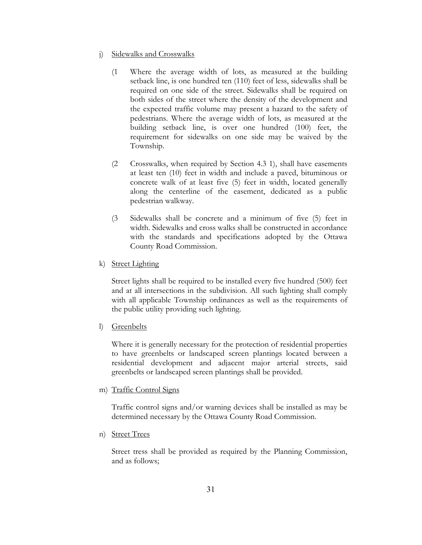- j) Sidewalks and Crosswalks
	- (1 Where the average width of lots, as measured at the building setback line, is one hundred ten (110) feet of less, sidewalks shall be required on one side of the street. Sidewalks shall be required on both sides of the street where the density of the development and the expected traffic volume may present a hazard to the safety of pedestrians. Where the average width of lots, as measured at the building setback line, is over one hundred (100) feet, the requirement for sidewalks on one side may be waived by the Township.
	- (2 Crosswalks, when required by Section 4.3 1), shall have easements at least ten (10) feet in width and include a paved, bituminous or concrete walk of at least five (5) feet in width, located generally along the centerline of the easement, dedicated as a public pedestrian walkway.
	- (3 Sidewalks shall be concrete and a minimum of five (5) feet in width. Sidewalks and cross walks shall be constructed in accordance with the standards and specifications adopted by the Ottawa County Road Commission.
- k) Street Lighting

Street lights shall be required to be installed every five hundred (500) feet and at all intersections in the subdivision. All such lighting shall comply with all applicable Township ordinances as well as the requirements of the public utility providing such lighting.

l) Greenbelts

Where it is generally necessary for the protection of residential properties to have greenbelts or landscaped screen plantings located between a residential development and adjacent major arterial streets, said greenbelts or landscaped screen plantings shall be provided.

m) Traffic Control Signs

Traffic control signs and/or warning devices shall be installed as may be determined necessary by the Ottawa County Road Commission.

n) Street Trees

Street tress shall be provided as required by the Planning Commission, and as follows;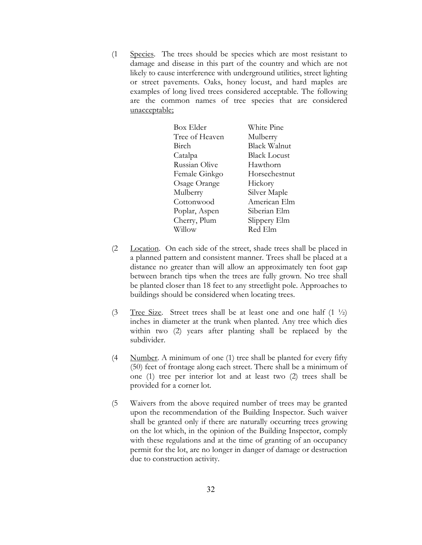(1 Species. The trees should be species which are most resistant to damage and disease in this part of the country and which are not likely to cause interference with underground utilities, street lighting or street pavements. Oaks, honey locust, and hard maples are examples of long lived trees considered acceptable. The following are the common names of tree species that are considered unacceptable;

| Box Elder      | White Pine          |
|----------------|---------------------|
| Tree of Heaven | Mulberry            |
| Birch          | Black Walnut        |
| Catalpa        | <b>Black Locust</b> |
| Russian Olive  | Hawthorn            |
| Female Ginkgo  | Horsechestnut       |
| Osage Orange   | Hickory             |
| Mulberry       | Silver Maple        |
| Cottonwood     | American Elm        |
| Poplar, Aspen  | Siberian Elm        |
| Cherry, Plum   | Slippery Elm        |
| Willow         | Red Elm             |
|                |                     |

- (2 Location. On each side of the street, shade trees shall be placed in a planned pattern and consistent manner. Trees shall be placed at a distance no greater than will allow an approximately ten foot gap between branch tips when the trees are fully grown. No tree shall be planted closer than 18 feet to any streetlight pole. Approaches to buildings should be considered when locating trees.
- (3 Tree Size. Street trees shall be at least one and one half  $(1 \frac{1}{2})$ inches in diameter at the trunk when planted. Any tree which dies within two (2) years after planting shall be replaced by the subdivider.
- (4 Number. A minimum of one (1) tree shall be planted for every fifty (50) feet of frontage along each street. There shall be a minimum of one (1) tree per interior lot and at least two (2) trees shall be provided for a corner lot.
- (5 Waivers from the above required number of trees may be granted upon the recommendation of the Building Inspector. Such waiver shall be granted only if there are naturally occurring trees growing on the lot which, in the opinion of the Building Inspector, comply with these regulations and at the time of granting of an occupancy permit for the lot, are no longer in danger of damage or destruction due to construction activity.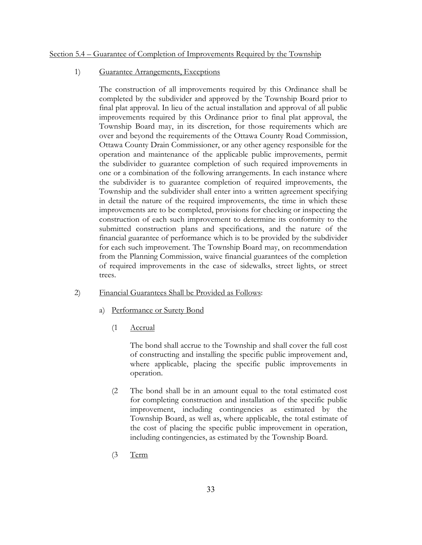#### Section 5.4 – Guarantee of Completion of Improvements Required by the Township

# 1) Guarantee Arrangements, Exceptions

The construction of all improvements required by this Ordinance shall be completed by the subdivider and approved by the Township Board prior to final plat approval. In lieu of the actual installation and approval of all public improvements required by this Ordinance prior to final plat approval, the Township Board may, in its discretion, for those requirements which are over and beyond the requirements of the Ottawa County Road Commission, Ottawa County Drain Commissioner, or any other agency responsible for the operation and maintenance of the applicable public improvements, permit the subdivider to guarantee completion of such required improvements in one or a combination of the following arrangements. In each instance where the subdivider is to guarantee completion of required improvements, the Township and the subdivider shall enter into a written agreement specifying in detail the nature of the required improvements, the time in which these improvements are to be completed, provisions for checking or inspecting the construction of each such improvement to determine its conformity to the submitted construction plans and specifications, and the nature of the financial guarantee of performance which is to be provided by the subdivider for each such improvement. The Township Board may, on recommendation from the Planning Commission, waive financial guarantees of the completion of required improvements in the case of sidewalks, street lights, or street trees.

#### 2) Financial Guarantees Shall be Provided as Follows:

- a) Performance or Surety Bond
	- (1 Accrual

The bond shall accrue to the Township and shall cover the full cost of constructing and installing the specific public improvement and, where applicable, placing the specific public improvements in operation.

- (2 The bond shall be in an amount equal to the total estimated cost for completing construction and installation of the specific public improvement, including contingencies as estimated by the Township Board, as well as, where applicable, the total estimate of the cost of placing the specific public improvement in operation, including contingencies, as estimated by the Township Board.
- (3 Term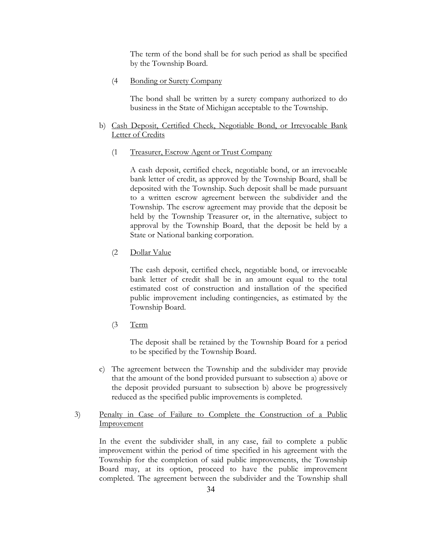The term of the bond shall be for such period as shall be specified by the Township Board.

(4 Bonding or Surety Company

The bond shall be written by a surety company authorized to do business in the State of Michigan acceptable to the Township.

# b) Cash Deposit, Certified Check, Negotiable Bond, or Irrevocable Bank Letter of Credits

(1 Treasurer, Escrow Agent or Trust Company

A cash deposit, certified check, negotiable bond, or an irrevocable bank letter of credit, as approved by the Township Board, shall be deposited with the Township. Such deposit shall be made pursuant to a written escrow agreement between the subdivider and the Township. The escrow agreement may provide that the deposit be held by the Township Treasurer or, in the alternative, subject to approval by the Township Board, that the deposit be held by a State or National banking corporation.

(2 Dollar Value

The cash deposit, certified check, negotiable bond, or irrevocable bank letter of credit shall be in an amount equal to the total estimated cost of construction and installation of the specified public improvement including contingencies, as estimated by the Township Board.

 $(3$  Term

The deposit shall be retained by the Township Board for a period to be specified by the Township Board.

c) The agreement between the Township and the subdivider may provide that the amount of the bond provided pursuant to subsection a) above or the deposit provided pursuant to subsection b) above be progressively reduced as the specified public improvements is completed.

# 3) Penalty in Case of Failure to Complete the Construction of a Public **Improvement**

In the event the subdivider shall, in any case, fail to complete a public improvement within the period of time specified in his agreement with the Township for the completion of said public improvements, the Township Board may, at its option, proceed to have the public improvement completed. The agreement between the subdivider and the Township shall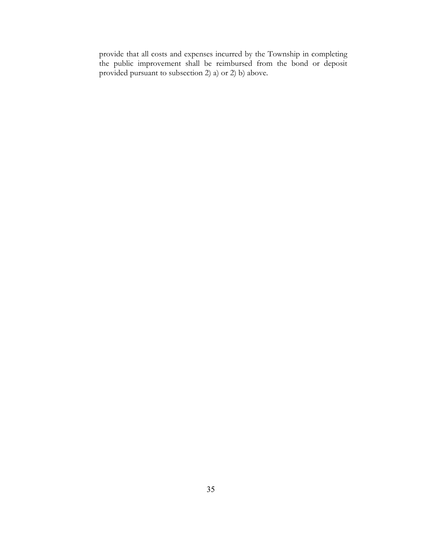provide that all costs and expenses incurred by the Township in completing the public improvement shall be reimbursed from the bond or deposit provided pursuant to subsection 2) a) or 2) b) above.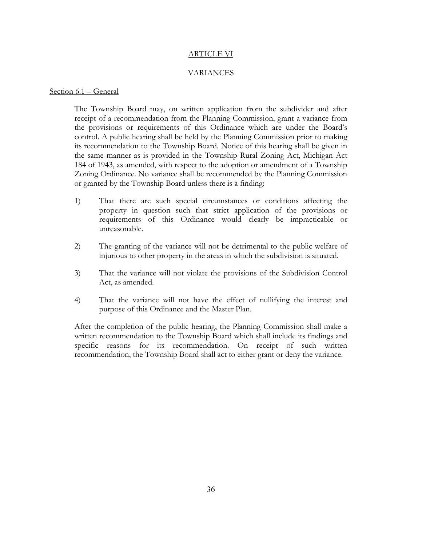#### ARTICLE VI

#### VARIANCES

#### Section 6.1 – General

The Township Board may, on written application from the subdivider and after receipt of a recommendation from the Planning Commission, grant a variance from the provisions or requirements of this Ordinance which are under the Board's control. A public hearing shall be held by the Planning Commission prior to making its recommendation to the Township Board. Notice of this hearing shall be given in the same manner as is provided in the Township Rural Zoning Act, Michigan Act 184 of 1943, as amended, with respect to the adoption or amendment of a Township Zoning Ordinance. No variance shall be recommended by the Planning Commission or granted by the Township Board unless there is a finding:

- 1) That there are such special circumstances or conditions affecting the property in question such that strict application of the provisions or requirements of this Ordinance would clearly be impracticable or unreasonable.
- 2) The granting of the variance will not be detrimental to the public welfare of injurious to other property in the areas in which the subdivision is situated.
- 3) That the variance will not violate the provisions of the Subdivision Control Act, as amended.
- 4) That the variance will not have the effect of nullifying the interest and purpose of this Ordinance and the Master Plan.

After the completion of the public hearing, the Planning Commission shall make a written recommendation to the Township Board which shall include its findings and specific reasons for its recommendation. On receipt of such written recommendation, the Township Board shall act to either grant or deny the variance.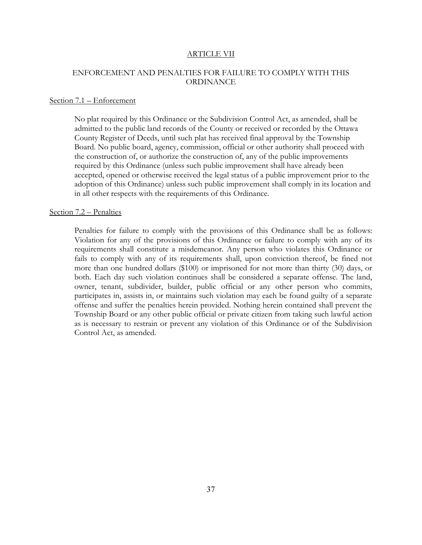#### ARTICLE VII

# ENFORCEMENT AND PENALTIES FOR FAILURE TO COMPLY WITH THIS ORDINANCE

#### Section 7.1 – Enforcement

No plat required by this Ordinance or the Subdivision Control Act, as amended, shall be admitted to the public land records of the County or received or recorded by the Ottawa County Register of Deeds, until such plat has received final approval by the Township Board. No public board, agency, commission, official or other authority shall proceed with the construction of, or authorize the construction of, any of the public improvements required by this Ordinance (unless such public improvement shall have already been accepted, opened or otherwise received the legal status of a public improvement prior to the adoption of this Ordinance) unless such public improvement shall comply in its location and in all other respects with the requirements of this Ordinance.

# Section 7.2 – Penalties

Penalties for failure to comply with the provisions of this Ordinance shall be as follows: Violation for any of the provisions of this Ordinance or failure to comply with any of its requirements shall constitute a misdemeanor. Any person who violates this Ordinance or fails to comply with any of its requirements shall, upon conviction thereof, be fined not more than one hundred dollars (\$100) or imprisoned for not more than thirty (30) days, or both. Each day such violation continues shall be considered a separate offense. The land, owner, tenant, subdivider, builder, public official or any other person who commits, participates in, assists in, or maintains such violation may each be found guilty of a separate offense and suffer the penalties herein provided. Nothing herein contained shall prevent the Township Board or any other public official or private citizen from taking such lawful action as is necessary to restrain or prevent any violation of this Ordinance or of the Subdivision Control Act, as amended.